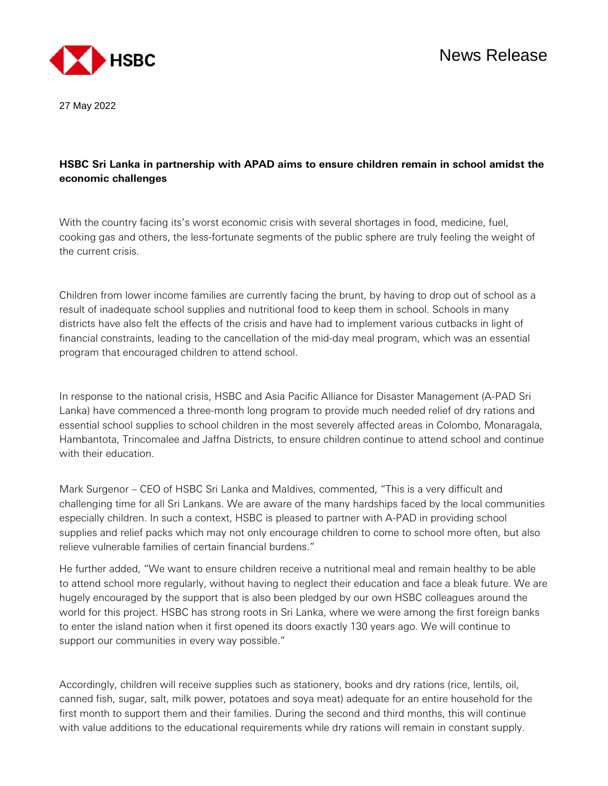

27 May 2022

## **HSBC Sri Lanka in partnership with APAD aims to ensure children remain in school amidst the economic challenges**

With the country facing its's worst economic crisis with several shortages in food, medicine, fuel, cooking gas and others, the less-fortunate segments of the public sphere are truly feeling the weight of the current crisis.

Children from lower income families are currently facing the brunt, by having to drop out of school as a result of inadequate school supplies and nutritional food to keep them in school. Schools in many districts have also felt the effects of the crisis and have had to implement various cutbacks in light of financial constraints, leading to the cancellation of the mid-day meal program, which was an essential program that encouraged children to attend school.

In response to the national crisis, HSBC and Asia Pacific Alliance for Disaster Management (A-PAD Sri Lanka) have commenced a three-month long program to provide much needed relief of dry rations and essential school supplies to school children in the most severely affected areas in Colombo, Monaragala, Hambantota, Trincomalee and Jaffna Districts, to ensure children continue to attend school and continue with their education.

Mark Surgenor – CEO of HSBC Sri Lanka and Maldives, commented, "This is a very difficult and challenging time for all Sri Lankans. We are aware of the many hardships faced by the local communities especially children. In such a context, HSBC is pleased to partner with A-PAD in providing school supplies and relief packs which may not only encourage children to come to school more often, but also relieve vulnerable families of certain financial burdens."

He further added, "We want to ensure children receive a nutritional meal and remain healthy to be able to attend school more regularly, without having to neglect their education and face a bleak future. We are hugely encouraged by the support that is also been pledged by our own HSBC colleagues around the world for this project. HSBC has strong roots in Sri Lanka, where we were among the first foreign banks to enter the island nation when it first opened its doors exactly 130 years ago. We will continue to support our communities in every way possible."

Accordingly, children will receive supplies such as stationery, books and dry rations (rice, lentils, oil, canned fish, sugar, salt, milk power, potatoes and soya meat) adequate for an entire household for the first month to support them and their families. During the second and third months, this will continue with value additions to the educational requirements while dry rations will remain in constant supply.